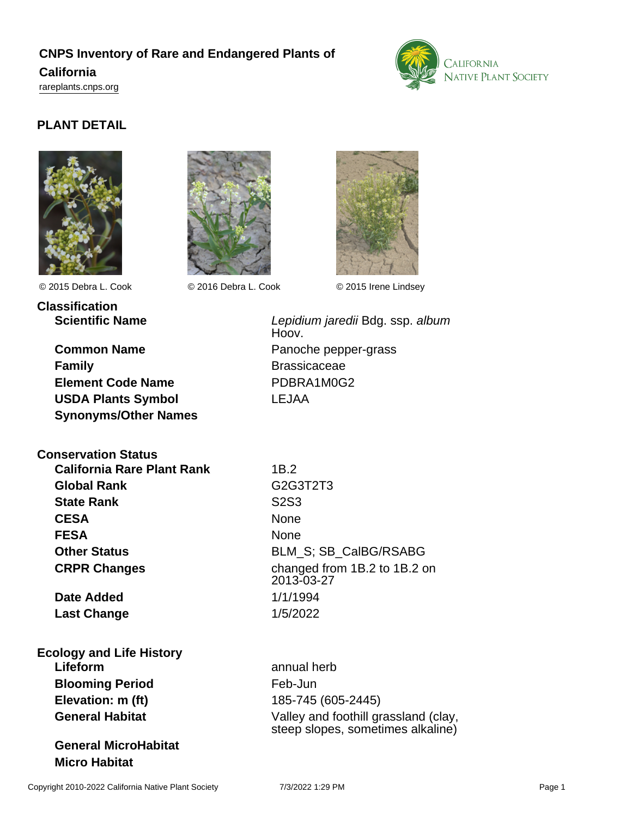# **CNPS Inventory of Rare and Endangered Plants of California**

<rareplants.cnps.org>



# **PLANT DETAIL**





© 2015 Debra L. Cook © 2016 Debra L. Cook © 2015 Irene Lindsey



**Classification**

**Common Name** Panoche pepper-grass **Family** Brassicaceae **Element Code Name** PDBRA1M0G2 **USDA Plants Symbol** LEJAA **Synonyms/Other Names**

**Conservation Status**

**California Rare Plant Rank** 1B.2 **Global Rank** G2G3T2T3 **State Rank** S2S3 **CESA** None **FESA** None

**Date Added** 1/1/1994 **Last Change** 1/5/2022

**Ecology and Life History Lifeform** annual herb **Blooming Period** Feb-Jun **Elevation: m (ft)** 185-745 (605-2445)

**General MicroHabitat Micro Habitat**

**Scientific Name Conserverse Election Conserverse Lepidium jaredii Bdg. ssp. album** Hoov.

**Other Status** BLM\_S; SB\_CalBG/RSABG **CRPR Changes** changed from 1B.2 to 1B.2 on 2013-03-27

**General Habitat** Valley and foothill grassland (clay, steep slopes, sometimes alkaline)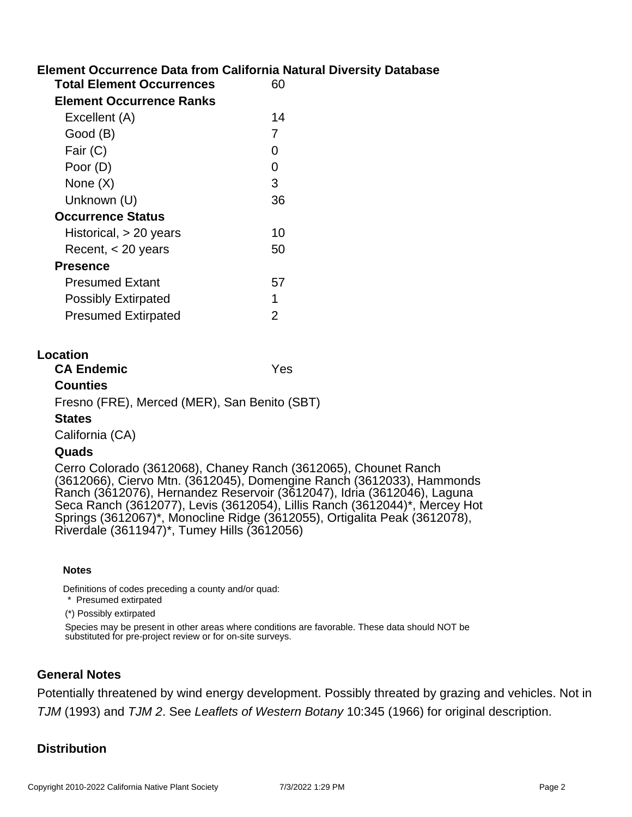# **Element Occurrence Data from California Natural Diversity Database**

| <b>Total Element Occurrences</b> |    |
|----------------------------------|----|
| <b>Element Occurrence Ranks</b>  |    |
| Excellent (A)                    | 14 |
| Good (B)                         | 7  |
| Fair (C)                         | O  |
| Poor (D)                         | O  |
| None $(X)$                       | 3  |
| Unknown (U)                      | 36 |
| <b>Occurrence Status</b>         |    |
| Historical, $> 20$ years         | 10 |
| Recent, $<$ 20 years             | 50 |
| <b>Presence</b>                  |    |
| <b>Presumed Extant</b>           | 57 |
| <b>Possibly Extirpated</b>       | 1  |
| <b>Presumed Extirpated</b>       | 2  |
|                                  |    |

### **Location**

| <b>CA Endemic</b>                            | Yes |
|----------------------------------------------|-----|
| <b>Counties</b>                              |     |
| Fresno (FRE), Merced (MER), San Benito (SBT) |     |

#### **States**

California (CA)

#### **Quads**

Cerro Colorado (3612068), Chaney Ranch (3612065), Chounet Ranch (3612066), Ciervo Mtn. (3612045), Domengine Ranch (3612033), Hammonds Ranch (3612076), Hernandez Reservoir (3612047), Idria (3612046), Laguna Seca Ranch (3612077), Levis (3612054), Lillis Ranch (3612044)\*, Mercey Hot Springs (3612067)\*, Monocline Ridge (3612055), Ortigalita Peak (3612078), Riverdale (3611947)\*, Tumey Hills (3612056)

#### **Notes**

Definitions of codes preceding a county and/or quad:

\* Presumed extirpated

(\*) Possibly extirpated

Species may be present in other areas where conditions are favorable. These data should NOT be substituted for pre-project review or for on-site surveys.

### **General Notes**

Potentially threatened by wind energy development. Possibly threated by grazing and vehicles. Not in TJM (1993) and TJM 2. See Leaflets of Western Botany 10:345 (1966) for original description.

# **Distribution**